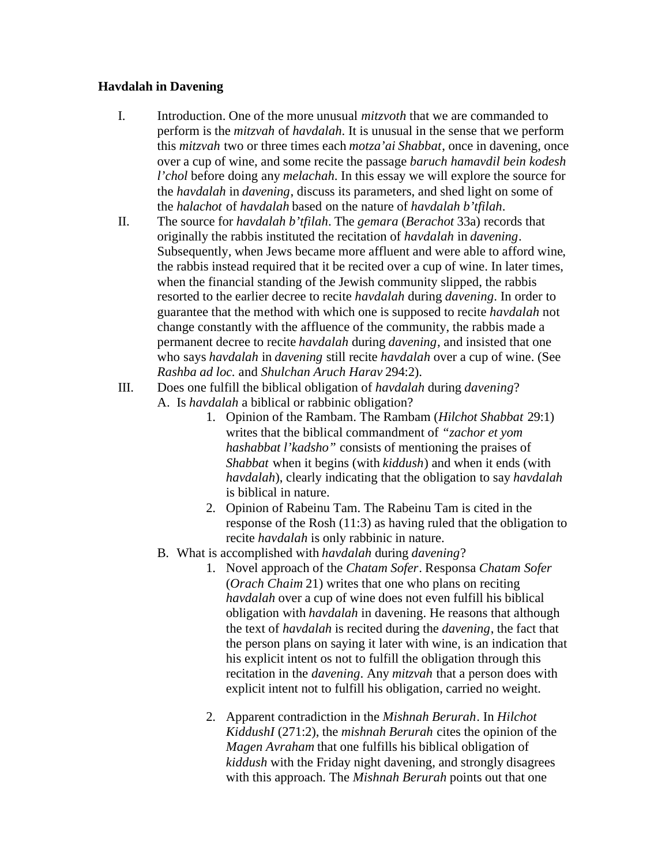## **Havdalah in Davening**

- I. Introduction. One of the more unusual *mitzvoth* that we are commanded to perform is the *mitzvah* of *havdalah*. It is unusual in the sense that we perform this *mitzvah* two or three times each *motza'ai Shabbat*, once in davening, once over a cup of wine, and some recite the passage *baruch hamavdil bein kodesh l'chol* before doing any *melachah*. In this essay we will explore the source for the *havdalah* in *davening*, discuss its parameters, and shed light on some of the *halachot* of *havdalah* based on the nature of *havdalah b'tfilah*.
- II. The source for *havdalah b'tfilah*. The *gemara* (*Berachot* 33a) records that originally the rabbis instituted the recitation of *havdalah* in *davening*. Subsequently, when Jews became more affluent and were able to afford wine, the rabbis instead required that it be recited over a cup of wine. In later times, when the financial standing of the Jewish community slipped, the rabbis resorted to the earlier decree to recite *havdalah* during *davening*. In order to guarantee that the method with which one is supposed to recite *havdalah* not change constantly with the affluence of the community, the rabbis made a permanent decree to recite *havdalah* during *davening*, and insisted that one who says *havdalah* in *davening* still recite *havdalah* over a cup of wine. (See *Rashba ad loc.* and *Shulchan Aruch Harav* 294:2).
- III. Does one fulfill the biblical obligation of *havdalah* during *davening*? A. Is *havdalah* a biblical or rabbinic obligation?
	- 1. Opinion of the Rambam. The Rambam (*Hilchot Shabbat* 29:1) writes that the biblical commandment of *"zachor et yom hashabbat l'kadsho"* consists of mentioning the praises of *Shabbat* when it begins (with *kiddush*) and when it ends (with *havdalah*), clearly indicating that the obligation to say *havdalah* is biblical in nature.
	- 2. Opinion of Rabeinu Tam. The Rabeinu Tam is cited in the response of the Rosh (11:3) as having ruled that the obligation to recite *havdalah* is only rabbinic in nature.
	- B. What is accomplished with *havdalah* during *davening*?
		- 1. Novel approach of the *Chatam Sofer*. Responsa *Chatam Sofer*  (*Orach Chaim* 21) writes that one who plans on reciting *havdalah* over a cup of wine does not even fulfill his biblical obligation with *havdalah* in davening. He reasons that although the text of *havdalah* is recited during the *davening*, the fact that the person plans on saying it later with wine, is an indication that his explicit intent os not to fulfill the obligation through this recitation in the *davening*. Any *mitzvah* that a person does with explicit intent not to fulfill his obligation, carried no weight.
		- 2. Apparent contradiction in the *Mishnah Berurah*. In *Hilchot KiddushI* (271:2), the *mishnah Berurah* cites the opinion of the *Magen Avraham* that one fulfills his biblical obligation of *kiddush* with the Friday night davening, and strongly disagrees with this approach. The *Mishnah Berurah* points out that one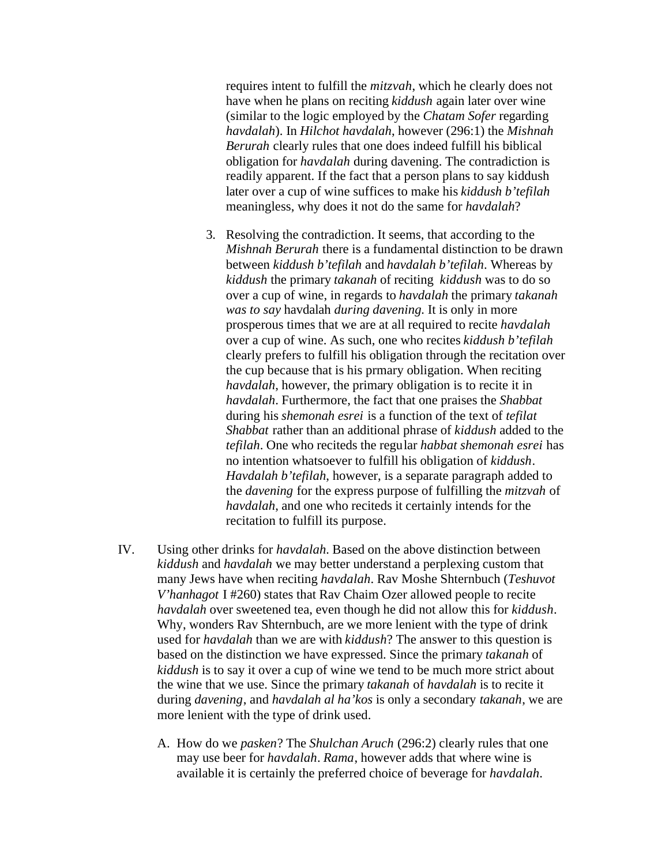requires intent to fulfill the *mitzvah*, which he clearly does not have when he plans on reciting *kiddush* again later over wine (similar to the logic employed by the *Chatam Sofer* regarding *havdalah*). In *Hilchot havdalah*, however (296:1) the *Mishnah Berurah* clearly rules that one does indeed fulfill his biblical obligation for *havdalah* during davening. The contradiction is readily apparent. If the fact that a person plans to say kiddush later over a cup of wine suffices to make his *kiddush b'tefilah* meaningless, why does it not do the same for *havdalah*?

- 3. Resolving the contradiction. It seems, that according to the *Mishnah Berurah* there is a fundamental distinction to be drawn between *kiddush b'tefilah* and *havdalah b'tefilah*. Whereas by *kiddush* the primary *takanah* of reciting *kiddush* was to do so over a cup of wine, in regards to *havdalah* the primary *takanah was to say* havdalah *during davening.* It is only in more prosperous times that we are at all required to recite *havdalah* over a cup of wine. As such, one who recites *kiddush b'tefilah* clearly prefers to fulfill his obligation through the recitation over the cup because that is his prmary obligation. When reciting *havdalah*, however, the primary obligation is to recite it in *havdalah*. Furthermore, the fact that one praises the *Shabbat* during his *shemonah esrei* is a function of the text of *tefilat Shabbat* rather than an additional phrase of *kiddush* added to the *tefilah*. One who reciteds the regular *habbat shemonah esrei* has no intention whatsoever to fulfill his obligation of *kiddush*. *Havdalah b'tefilah*, however, is a separate paragraph added to the *davening* for the express purpose of fulfilling the *mitzvah* of *havdalah*, and one who reciteds it certainly intends for the recitation to fulfill its purpose.
- IV. Using other drinks for *havdalah.* Based on the above distinction between *kiddush* and *havdalah* we may better understand a perplexing custom that many Jews have when reciting *havdalah*. Rav Moshe Shternbuch (*Teshuvot V'hanhagot* I #260) states that Rav Chaim Ozer allowed people to recite *havdalah* over sweetened tea, even though he did not allow this for *kiddush*. Why, wonders Rav Shternbuch, are we more lenient with the type of drink used for *havdalah* than we are with *kiddush*? The answer to this question is based on the distinction we have expressed. Since the primary *takanah* of *kiddush* is to say it over a cup of wine we tend to be much more strict about the wine that we use. Since the primary *takanah* of *havdalah* is to recite it during *davening*, and *havdalah al ha'kos* is only a secondary *takanah*, we are more lenient with the type of drink used.
	- A. How do we *pasken*? The *Shulchan Aruch* (296:2) clearly rules that one may use beer for *havdalah*. *Rama*, however adds that where wine is available it is certainly the preferred choice of beverage for *havdalah*.